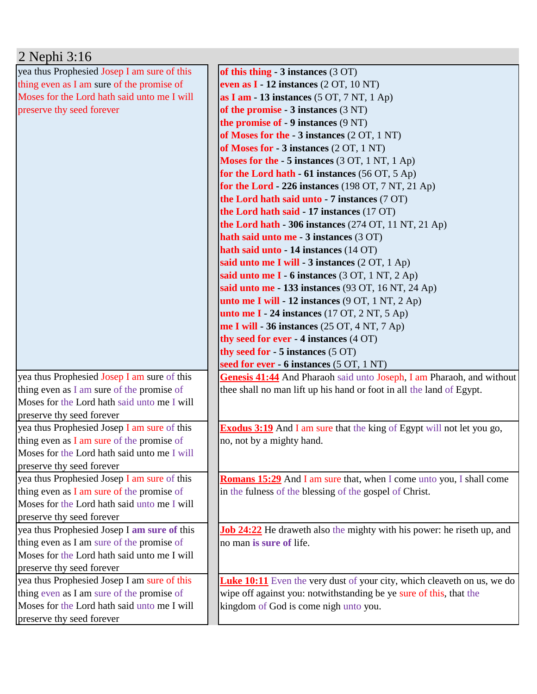| 2 Nephi 3:16                                |                                                                                |
|---------------------------------------------|--------------------------------------------------------------------------------|
| yea thus Prophesied Josep I am sure of this | of this thing $-3$ instances $(3 \text{ OT})$                                  |
| thing even as I am sure of the promise of   | even as $I - 12$ instances $(2 OT, 10 NT)$                                     |
| Moses for the Lord hath said unto me I will | as I am - 13 instances $(5 OT, 7 NT, 1 Ap)$                                    |
| preserve thy seed forever                   | of the promise $-3$ instances $(3 \text{ NT})$                                 |
|                                             | <b>the promise of - 9 instances (9 NT)</b>                                     |
|                                             | of Moses for the - 3 instances (2 OT, 1 NT)                                    |
|                                             | of Moses for - 3 instances (2 OT, 1 NT)                                        |
|                                             | <b>Moses for the - 5 instances</b> (3 OT, 1 NT, 1 Ap)                          |
|                                             | for the Lord hath $-61$ instances (56 OT, 5 Ap)                                |
|                                             | for the Lord $-226$ instances (198 OT, 7 NT, 21 Ap)                            |
|                                             | the Lord hath said unto - 7 instances (7 OT)                                   |
|                                             | the Lord hath said - 17 instances (17 OT)                                      |
|                                             | the Lord hath - 306 instances (274 OT, 11 NT, 21 Ap)                           |
|                                             | hath said unto me - 3 instances (3 OT)                                         |
|                                             | hath said unto - 14 instances (14 OT)                                          |
|                                             | said unto me I will - 3 instances (2 OT, 1 Ap)                                 |
|                                             | said unto me I - 6 instances (3 OT, 1 NT, 2 Ap)                                |
|                                             | said unto me - 133 instances (93 OT, 16 NT, 24 Ap)                             |
|                                             | unto me I will - 12 instances (9 OT, 1 NT, 2 Ap)                               |
|                                             | unto me I - 24 instances $(17 \text{ OT}, 2 \text{ NT}, 5 \text{ Ap})$         |
|                                             | me I will - 36 instances $(25 OT, 4 NT, 7 Ap)$                                 |
|                                             | thy seed for ever - 4 instances (4 OT)                                         |
|                                             | thy seed for $-5$ instances $(5 \text{ OT})$                                   |
|                                             | seed for ever - 6 instances (5 OT, 1 NT)                                       |
| yea thus Prophesied Josep I am sure of this | Genesis 41:44 And Pharaoh said unto Joseph, I am Pharaoh, and without          |
| thing even as I am sure of the promise of   | thee shall no man lift up his hand or foot in all the land of Egypt.           |
| Moses for the Lord hath said unto me I will |                                                                                |
| preserve thy seed forever                   |                                                                                |
| yea thus Prophesied Josep I am sure of this | <b>Exodus 3:19</b> And I am sure that the king of Egypt will not let you go,   |
| thing even as I am sure of the promise of   | no, not by a mighty hand.                                                      |
| Moses for the Lord hath said unto me I will |                                                                                |
| preserve thy seed forever                   |                                                                                |
| yea thus Prophesied Josep I am sure of this | <b>Romans 15:29</b> And I am sure that, when I come unto you, I shall come     |
| thing even as I am sure of the promise of   | in the fulness of the blessing of the gospel of Christ.                        |
| Moses for the Lord hath said unto me I will |                                                                                |
| preserve thy seed forever                   |                                                                                |
| yea thus Prophesied Josep I am sure of this | <b>Job 24:22</b> He draweth also the mighty with his power: he riseth up, and  |
| thing even as I am sure of the promise of   | no man is sure of life.                                                        |
| Moses for the Lord hath said unto me I will |                                                                                |
| preserve thy seed forever                   |                                                                                |
| yea thus Prophesied Josep I am sure of this | <b>Luke 10:11</b> Even the very dust of your city, which cleaveth on us, we do |
| thing even as I am sure of the promise of   | wipe off against you: notwithstanding be ye sure of this, that the             |
| Moses for the Lord hath said unto me I will | kingdom of God is come nigh unto you.                                          |
| preserve thy seed forever                   |                                                                                |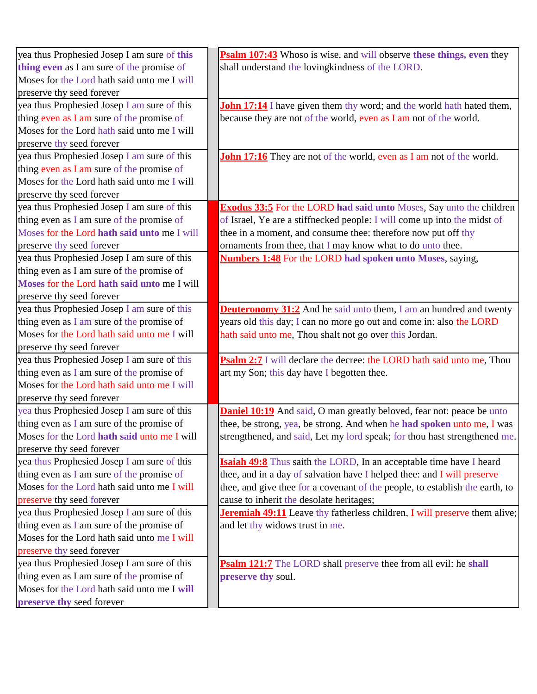| yea thus Prophesied Josep I am sure of this | Psalm 107:43 Whoso is wise, and will observe these things, even they             |
|---------------------------------------------|----------------------------------------------------------------------------------|
| thing even as I am sure of the promise of   | shall understand the lovingkindness of the LORD.                                 |
| Moses for the Lord hath said unto me I will |                                                                                  |
| preserve thy seed forever                   |                                                                                  |
| yea thus Prophesied Josep I am sure of this | <b>John 17:14</b> I have given them thy word; and the world hath hated them,     |
| thing even as I am sure of the promise of   | because they are not of the world, even as I am not of the world.                |
| Moses for the Lord hath said unto me I will |                                                                                  |
| preserve thy seed forever                   |                                                                                  |
| yea thus Prophesied Josep I am sure of this | <b>John 17:16</b> They are not of the world, even as I am not of the world.      |
| thing even as I am sure of the promise of   |                                                                                  |
| Moses for the Lord hath said unto me I will |                                                                                  |
| preserve thy seed forever                   |                                                                                  |
| yea thus Prophesied Josep I am sure of this | <b>Exodus 33:5</b> For the LORD had said unto Moses, Say unto the children       |
| thing even as I am sure of the promise of   | of Israel, Ye are a stiffnecked people: I will come up into the midst of         |
| Moses for the Lord hath said unto me I will | thee in a moment, and consume thee: therefore now put off thy                    |
| preserve thy seed forever                   | ornaments from thee, that I may know what to do unto thee.                       |
| yea thus Prophesied Josep I am sure of this | <b>Numbers 1:48</b> For the LORD had spoken unto Moses, saying,                  |
| thing even as I am sure of the promise of   |                                                                                  |
| Moses for the Lord hath said unto me I will |                                                                                  |
| preserve thy seed forever                   |                                                                                  |
| yea thus Prophesied Josep I am sure of this | <b>Deuteronomy 31:2</b> And he said unto them, I am an hundred and twenty        |
| thing even as I am sure of the promise of   | years old this day; I can no more go out and come in: also the LORD              |
| Moses for the Lord hath said unto me I will | hath said unto me, Thou shalt not go over this Jordan.                           |
| preserve thy seed forever                   |                                                                                  |
| yea thus Prophesied Josep I am sure of this | Psalm 2:7 I will declare the decree: the LORD hath said unto me, Thou            |
| thing even as I am sure of the promise of   | art my Son; this day have I begotten thee.                                       |
| Moses for the Lord hath said unto me I will |                                                                                  |
| preserve thy seed forever                   |                                                                                  |
| yea thus Prophesied Josep I am sure of this | <b>Daniel 10:19</b> And said, O man greatly beloved, fear not: peace be unto     |
| thing even as I am sure of the promise of   | thee, be strong, yea, be strong. And when he had spoken unto me, I was           |
| Moses for the Lord hath said unto me I will | strengthened, and said, Let my lord speak; for thou hast strengthened me.        |
| preserve thy seed forever                   |                                                                                  |
| yea thus Prophesied Josep I am sure of this | <b>Isaiah 49:8</b> Thus saith the LORD, In an acceptable time have I heard       |
| thing even as I am sure of the promise of   | thee, and in a day of salvation have I helped thee: and I will preserve          |
| Moses for the Lord hath said unto me I will | thee, and give thee for a covenant of the people, to establish the earth, to     |
| preserve thy seed forever                   | cause to inherit the desolate heritages;                                         |
| yea thus Prophesied Josep I am sure of this | <b>Jeremiah 49:11</b> Leave thy fatherless children, I will preserve them alive; |
| thing even as I am sure of the promise of   | and let thy widows trust in me.                                                  |
| Moses for the Lord hath said unto me I will |                                                                                  |
| preserve thy seed forever                   |                                                                                  |
| yea thus Prophesied Josep I am sure of this | Psalm 121:7 The LORD shall preserve thee from all evil: he shall                 |
| thing even as I am sure of the promise of   | preserve thy soul.                                                               |
| Moses for the Lord hath said unto me I will |                                                                                  |
| preserve thy seed forever                   |                                                                                  |